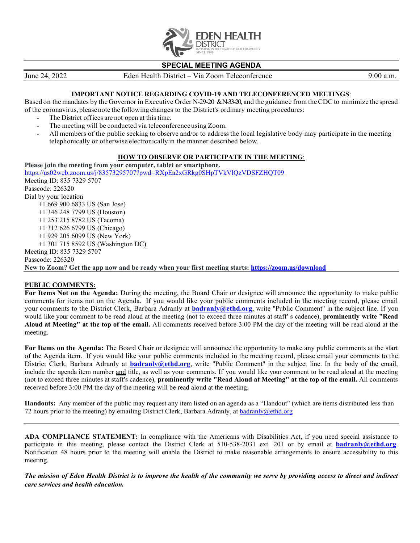

## **SPECIAL MEETING AGENDA**

June 24, 2022 Eden Health District – Via Zoom Teleconference 9:00 a.m.

## **IMPORTANT NOTICE REGARDING COVID-19 AND TELECONFERENCED MEETINGS**:

Based on the mandates by the Governor in Executive Order N-29-20 &N-33-20, and the guidance from the CDC to minimize the spread of the coronavirus, pleasenote the followingchanges to the District's ordinary meeting procedures:

- The District offices are not open at this time.
- The meeting will be conducted via teleconference using Zoom.
- All members of the public seeking to observe and/or to address the local legislative body may participate in the meeting telephonically or otherwise electronically in the manner described below.

## **HOW TO OBSERVE OR PARTICIPATE IN THE MEETING**:

**Please join the meeting from your computer, tablet or smartphone.** <https://us02web.zoom.us/j/83573295707?pwd=RXpEa2xGRkg0SHpTVkVlQzVDSFZHQT09> Meeting ID: 835 7329 5707 Passcode: 226320 Dial by your location +1 669 900 6833 US (San Jose) +1 346 248 7799 US (Houston) +1 253 215 8782 US (Tacoma) +1 312 626 6799 US (Chicago) +1 929 205 6099 US (New York) +1 301 715 8592 US (Washington DC) Meeting ID: 835 7329 5707 Passcode: 226320 **New to Zoom? Get the app now and be ready when your first meeting starts: <https://zoom.us/download>**

## **PUBLIC COMMENTS:**

**For Items Not on the Agenda:** During the meeting, the Board Chair or designee will announce the opportunity to make public comments for items not on the Agenda. If you would like your public comments included in the meeting record, please email your comments to the District Clerk, Barbara Adranly at **[badranly@ethd.org](mailto:badranly@ethd.org)**, write "Public Comment" in the subject line. If you would like your comment to be read aloud at the meeting (not to exceed three minutes at staff' s cadence), **prominently write "Read Aloud at Meeting" at the top of the email.** All comments received before 3:00 PM the day of the meeting will be read aloud at the meeting.

**For Items on the Agenda:** The Board Chair or designee will announce the opportunity to make any public comments at the start of the Agenda item. If you would like your public comments included in the meeting record, please email your comments to the District Clerk, Barbara Adranly at **[badranly@ethd.org](mailto:badranly@ethd.org)**, write "Public Comment" in the subject line. In the body of the email, include the agenda item number and title, as well as your comments. If you would like your comment to be read aloud at the meeting (not to exceed three minutes at staff's cadence), **prominently write "Read Aloud at Meeting" at the top of the email.** All comments received before 3:00 PM the day of the meeting will be read aloud at the meeting.

**Handouts:** Any member of the public may request any item listed on an agenda as a "Handout" (which are items distributed less than 72 hours prior to the meeting) by emailing District Clerk, Barbara Adranly, a[t badranly@ethd.org](mailto:badranly@ethd.org)

**ADA COMPLIANCE STATEMENT:** In compliance with the Americans with Disabilities Act, if you need special assistance to participate in this meeting, please contact the District Clerk at 510-538-2031 ext. 201 or by email at **[badranly@ethd.org](mailto:badranly@ethd.org)**. Notification 48 hours prior to the meeting will enable the District to make reasonable arrangements to ensure accessibility to this meeting.

*The mission of Eden Health District is to improve the health of the community we serve by providing access to direct and indirect care services and health education.*